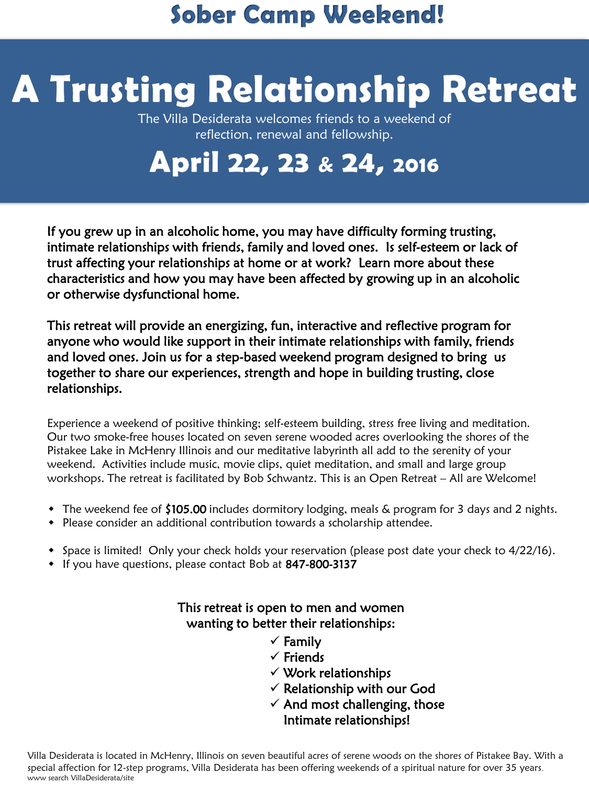### **Sober Camp Weekend!**

# **A Trusting Relationship Retreat**

The Villa Desiderata welcomes friends to a weekend of reflection, renewal and fellowship.

## April 22, 23 & 24, 2016

If you grew up in an alcoholic home, you may have difficulty forming trusting, intimate relationships with friends, family and loved ones. Is self-esteem or lack of trust affecting your relationships at home or at work? Learn more about these characteristics and how you may have been affected by growing up in an alcoholic or otherwise dysfunctional home.

This retreat will provide an energizing, fun, interactive and reflective program for anyone who would like support in their intimate relationships with family, friends and loved ones. Join us for a step-based weekend program designed to bring us together to share our experiences, strength and hope in building trusting, close relationships.

Experience a weekend of positive thinking; self-esteem building, stress free living and meditation. Our two smoke-free houses located on seven serene wooded acres overlooking the shores of the Pistakee Lake in McHenry Illinois and our meditative labyrinth all add to the serenity of your weekend. Activities include music, movie clips, quiet meditation, and small and large group workshops. The retreat is facilitated by Bob Schwantz. This is an Open Retreat – All are Welcome!

- The weekend fee of \$105.00 includes dormitory lodging, meals & program for 3 days and 2 nights.
- Please consider an additional contribution towards a scholarship attendee.
- Space is limited! Only your check holds your reservation (please post date your check to 4/22/16).
- If you have questions, please contact Bob at 847-800-3137

#### This retreat is open to men and women wanting to better their relationships:

- $\checkmark$  Family
- $\checkmark$  Friends
- $\checkmark$  Work relationships
- $\checkmark$  Relationship with our God
- $\checkmark$  And most challenging, those Intimate relationships!

Villa Desiderata is located in McHenry, Illinois on seven beautiful acres of serene woods on the shores of Pistakee Bay. With a special affection for 12-step programs, Villa Desiderata has been offering weekends of a spiritual nature for over 35 years. www search VillaDesiderata/site